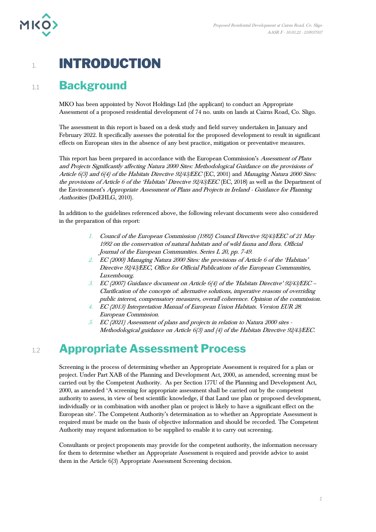

## 1. **INTRODUCTION**

## 1.1 **Background**

MKO has been appointed by Novot Holdings Ltd (the applicant) to conduct an Appropriate Assessment of a proposed residential development of 74 no. units on lands at Cairns Road, Co. Sligo.

The assessment in this report is based on a desk study and field survey undertaken in January and February 2022. It specifically assesses the potential for the proposed development to result in significant effects on European sites in the absence of any best practice, mitigation or preventative measures.

This report has been prepared in accordance with the European Commission's Assessment of Plans and Projects Significantly affecting Natura 2000 Sites: Methodological Guidance on the provisions of Article 6(3) and 6(4) of the Habitats Directive 92/43/EEC (EC, 2001) and Managing Natura 2000 Sites: the provisions of Article 6 of the 'Habitats' Directive 92/43/EEC (EC, 2018) as well as the Department of the Environment's Appropriate Assessment of Plans and Projects in Ireland - Guidance for Planning Authorities (DoEHLG, 2010).

In addition to the guidelines referenced above, the following relevant documents were also considered in the preparation of this report:

- 1. Council of the European Commission (1992) Council Directive 92/43/EEC of 21 May 1992 on the conservation of natural habitats and of wild fauna and flora. Official Journal of the European Communities. Series L 20, pp. 7-49.
- 2. EC (2000) Managing Natura 2000 Sites: the provisions of Article 6 of the 'Habitats' Directive 92/43/EEC, Office for Official Publications of the European Communities, Luxembourg.
- 3. EC (2007) Guidance document on Article 6(4) of the 'Habitats Directive' 92/43/EEC Clarification of the concepts of: alternative solutions, imperative reasons of overriding public interest, compensatory measures, overall coherence. Opinion of the commission.
- 4. EC (2013) Interpretation Manual of European Union Habitats. Version EUR 28. European Commission.
- 5. EC (2021) Assessment of plans and projects in relation to Natura 2000 sites Methodological guidance on Article 6(3) and (4) of the Habitats Directive 92/43/EEC.

## 1.2 **Appropriate Assessment Process**

Screening is the process of determining whether an Appropriate Assessment is required for a plan or project. Under Part XAB of the Planning and Development Act, 2000, as amended, screening must be carried out by the Competent Authority. As per Section 177U of the Planning and Development Act, 2000, as amended 'A screening for appropriate assessment shall be carried out by the competent authority to assess, in view of best scientific knowledge, if that Land use plan or proposed development, individually or in combination with another plan or project is likely to have a significant effect on the European site'. The Competent Authority's determination as to whether an Appropriate Assessment is required must be made on the basis of objective information and should be recorded. The Competent Authority may request information to be supplied to enable it to carry out screening.

Consultants or project proponents may provide for the competent authority, the information necessary for them to determine whether an Appropriate Assessment is required and provide advice to assist them in the Article 6(3) Appropriate Assessment Screening decision.